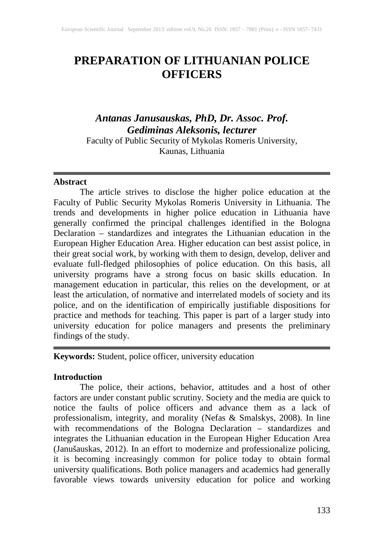# **PREPARATION OF LITHUANIAN POLICE OFFICERS**

*Antanas Janusauskas, PhD, Dr. Assoc. Prof. Gediminas Aleksonis, lecturer* Faculty of Public Security of Mykolas Romeris University, Kaunas, Lithuania

#### **Abstract**

The article strives to disclose the higher police education at the Faculty of Public Security Mykolas Romeris University in Lithuania. The trends and developments in higher police education in Lithuania have generally confirmed the principal challenges identified in the Bologna Declaration – standardizes and integrates the Lithuanian education in the European Higher Education Area. Higher education can best assist police, in their great social work, by working with them to design, develop, deliver and evaluate full-fledged philosophies of police education. On this basis, all university programs have a strong focus on basic skills education. In management education in particular, this relies on the development, or at least the articulation, of normative and interrelated models of society and its police, and on the identification of empirically justifiable dispositions for practice and methods for teaching. This paper is part of a larger study into university education for police managers and presents the preliminary findings of the study.

**Keywords:** Student, police officer, university education

#### **Introduction**

The police, their actions, behavior, attitudes and a host of other factors are under constant public scrutiny. Society and the media are quick to notice the faults of police officers and advance them as a lack of professionalism, integrity, and morality (Nefas & Smalskys, 2008). In line with recommendations of the Bologna Declaration – standardizes and integrates the Lithuanian education in the European Higher Education Area (Janušauskas, 2012). In an effort to modernize and professionalize policing, it is becoming increasingly common for police today to obtain formal university qualifications. Both police managers and academics had generally favorable views towards university education for police and working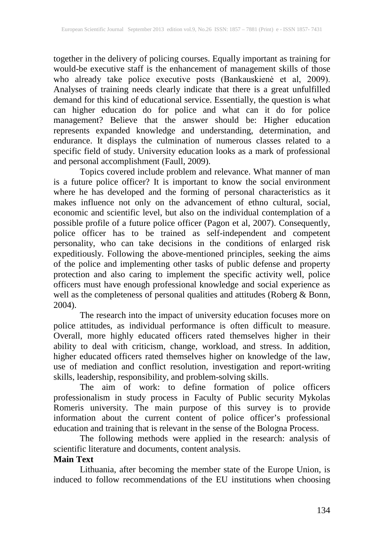together in the delivery of policing courses. Equally important as training for would-be executive staff is the enhancement of management skills of those who already take police executive posts (Bankauskienė et al, 2009). Analyses of training needs clearly indicate that there is a great unfulfilled demand for this kind of educational service. Essentially, the question is what can higher education do for police and what can it do for police management? Believe that the answer should be: Higher education represents expanded knowledge and understanding, determination, and endurance. It displays the culmination of numerous classes related to a specific field of study. University education looks as a mark of professional and personal accomplishment (Faull, 2009).

Topics covered include problem and relevance. What manner of man is a future police officer? It is important to know the social environment where he has developed and the forming of personal characteristics as it makes influence not only on the advancement of ethno cultural, social, economic and scientific level, but also on the individual contemplation of a possible profile of a future police officer (Pagon et al, 2007). Consequently, police officer has to be trained as self-independent and competent personality, who can take decisions in the conditions of enlarged risk expeditiously. Following the above-mentioned principles, seeking the aims of the police and implementing other tasks of public defense and property protection and also caring to implement the specific activity well, police officers must have enough professional knowledge and social experience as well as the completeness of personal qualities and attitudes (Roberg & Bonn, 2004).

The research into the impact of university education focuses more on police attitudes, as individual performance is often difficult to measure. Overall, more highly educated officers rated themselves higher in their ability to deal with criticism, change, workload, and stress. In addition, higher educated officers rated themselves higher on knowledge of the law, use of mediation and conflict resolution, investigation and report-writing skills, leadership, responsibility, and problem-solving skills.

The aim of work: to define formation of police officers professionalism in study process in Faculty of Public security Mykolas Romeris university. The main purpose of this survey is to provide information about the current content of police officer's professional education and training that is relevant in the sense of the Bologna Process.

The following methods were applied in the research: analysis of scientific literature and documents, content analysis.

#### **Main Text**

Lithuania, after becoming the member state of the Europe Union, is induced to follow recommendations of the EU institutions when choosing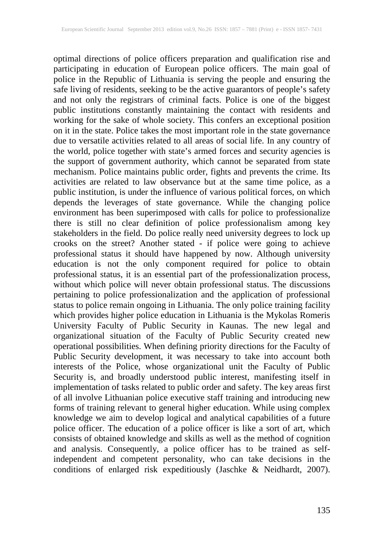optimal directions of police officers preparation and qualification rise and participating in education of European police officers. The main goal of police in the Republic of Lithuania is serving the people and ensuring the safe living of residents, seeking to be the active guarantors of people's safety and not only the registrars of criminal facts. Police is one of the biggest public institutions constantly maintaining the contact with residents and working for the sake of whole society. This confers an exceptional position on it in the state. Police takes the most important role in the state governance due to versatile activities related to all areas of social life. In any country of the world, police together with state's armed forces and security agencies is the support of government authority, which cannot be separated from state mechanism. Police maintains public order, fights and prevents the crime. Its activities are related to law observance but at the same time police, as a public institution, is under the influence of various political forces, on which depends the leverages of state governance. While the changing police environment has been superimposed with calls for police to professionalize there is still no clear definition of police professionalism among key stakeholders in the field. Do police really need university degrees to lock up crooks on the street? Another stated - if police were going to achieve professional status it should have happened by now. Although university education is not the only component required for police to obtain professional status, it is an essential part of the professionalization process, without which police will never obtain professional status. The discussions pertaining to police professionalization and the application of professional status to police remain ongoing in Lithuania. The only police training facility which provides higher police education in Lithuania is the Mykolas Romeris University Faculty of Public Security in Kaunas. The new legal and organizational situation of the Faculty of Public Security created new operational possibilities. When defining priority directions for the Faculty of Public Security development, it was necessary to take into account both interests of the Police, whose organizational unit the Faculty of Public Security is, and broadly understood public interest, manifesting itself in implementation of tasks related to public order and safety. The key areas first of all involve Lithuanian police executive staff training and introducing new forms of training relevant to general higher education. While using complex knowledge we aim to develop logical and analytical capabilities of a future police officer. The education of a police officer is like a sort of art, which consists of obtained knowledge and skills as well as the method of cognition and analysis. Consequently, a police officer has to be trained as selfindependent and competent personality, who can take decisions in the conditions of enlarged risk expeditiously (Jaschke & Neidhardt, 2007).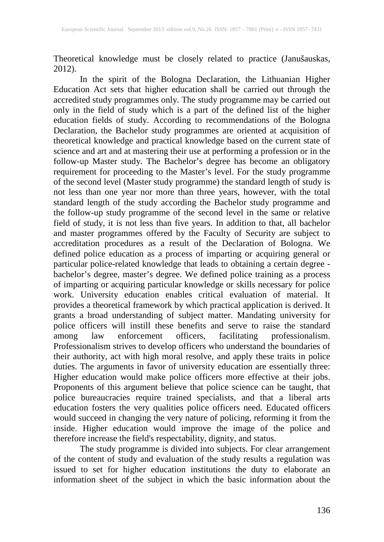Theoretical knowledge must be closely related to practice (Janušauskas, 2012).

In the spirit of the Bologna Declaration, the Lithuanian Higher Education Act sets that higher education shall be carried out through the accredited study programmes only. The study programme may be carried out only in the field of study which is a part of the defined list of the higher education fields of study. According to recommendations of the Bologna Declaration, the Bachelor study programmes are oriented at acquisition of theoretical knowledge and practical knowledge based on the current state of science and art and at mastering their use at performing a profession or in the follow-up Master study. The Bachelor's degree has become an obligatory requirement for proceeding to the Master's level. For the study programme of the second level (Master study programme) the standard length of study is not less than one year nor more than three years, however, with the total standard length of the study according the Bachelor study programme and the follow-up study programme of the second level in the same or relative field of study, it is not less than five years. In addition to that, all bachelor and master programmes offered by the Faculty of Security are subject to accreditation procedures as a result of the Declaration of Bologna. We defined police education as a process of imparting or acquiring general or particular police-related knowledge that leads to obtaining a certain degree bachelor's degree, master's degree. We defined police training as a process of imparting or acquiring particular knowledge or skills necessary for police work. University education enables critical evaluation of material. It provides a theoretical framework by which practical application is derived. It grants a broad understanding of subject matter. Mandating university for police officers will instill these benefits and serve to raise the standard among law enforcement officers, facilitating professionalism. Professionalism strives to develop officers who understand the boundaries of their authority, act with high moral resolve, and apply these traits in police duties. The arguments in favor of university education are essentially three: Higher education would make police officers more effective at their jobs. Proponents of this argument believe that police science can be taught, that police bureaucracies require trained specialists, and that a liberal arts education fosters the very qualities police officers need. Educated officers would succeed in changing the very nature of policing, reforming it from the inside. Higher education would improve the image of the police and therefore increase the field's respectability, dignity, and status.

The study programme is divided into subjects. For clear arrangement of the content of study and evaluation of the study results a regulation was issued to set for higher education institutions the duty to elaborate an information sheet of the subject in which the basic information about the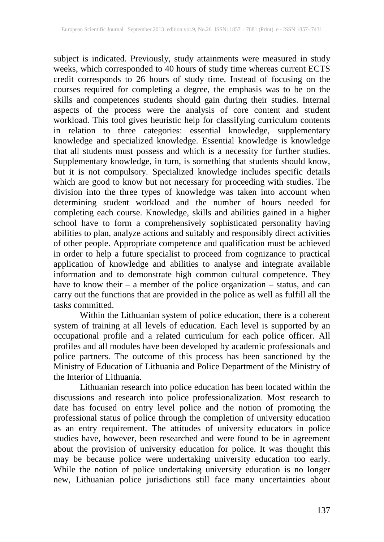subject is indicated. Previously, study attainments were measured in study weeks, which corresponded to 40 hours of study time whereas current ECTS credit corresponds to 26 hours of study time. Instead of focusing on the courses required for completing a degree, the emphasis was to be on the skills and competences students should gain during their studies. Internal aspects of the process were the analysis of core content and student workload. This tool gives heuristic help for classifying curriculum contents in relation to three categories: essential knowledge, supplementary knowledge and specialized knowledge. Essential knowledge is knowledge that all students must possess and which is a necessity for further studies. Supplementary knowledge, in turn, is something that students should know, but it is not compulsory. Specialized knowledge includes specific details which are good to know but not necessary for proceeding with studies. The division into the three types of knowledge was taken into account when determining student workload and the number of hours needed for completing each course. Knowledge, skills and abilities gained in a higher school have to form a comprehensively sophisticated personality having abilities to plan, analyze actions and suitably and responsibly direct activities of other people. Appropriate competence and qualification must be achieved in order to help a future specialist to proceed from cognizance to practical application of knowledge and abilities to analyse and integrate available information and to demonstrate high common cultural competence. They have to know their – a member of the police organization – status, and can carry out the functions that are provided in the police as well as fulfill all the tasks committed.

Within the Lithuanian system of police education, there is a coherent system of training at all levels of education. Each level is supported by an occupational profile and a related curriculum for each police officer. All profiles and all modules have been developed by academic professionals and police partners. The outcome of this process has been sanctioned by the Ministry of Education of Lithuania and Police Department of the Ministry of the Interior of Lithuania.

Lithuanian research into police education has been located within the discussions and research into police professionalization. Most research to date has focused on entry level police and the notion of promoting the professional status of police through the completion of university education as an entry requirement. The attitudes of university educators in police studies have, however, been researched and were found to be in agreement about the provision of university education for police. It was thought this may be because police were undertaking university education too early. While the notion of police undertaking university education is no longer new, Lithuanian police jurisdictions still face many uncertainties about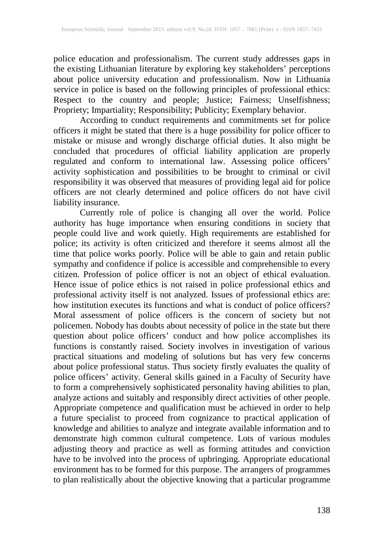police education and professionalism. The current study addresses gaps in the existing Lithuanian literature by exploring key stakeholders' perceptions about police university education and professionalism. Now in Lithuania service in police is based on the following principles of professional ethics: Respect to the country and people; Justice; Fairness; Unselfishness; Propriety; Impartiality; Responsibility; Publicity; Exemplary behavior.

According to conduct requirements and commitments set for police officers it might be stated that there is a huge possibility for police officer to mistake or misuse and wrongly discharge official duties. It also might be concluded that procedures of official liability application are properly regulated and conform to international law. Assessing police officers' activity sophistication and possibilities to be brought to criminal or civil responsibility it was observed that measures of providing legal aid for police officers are not clearly determined and police officers do not have civil liability insurance.

Currently role of police is changing all over the world. Police authority has huge importance when ensuring conditions in society that people could live and work quietly. High requirements are established for police; its activity is often criticized and therefore it seems almost all the time that police works poorly. Police will be able to gain and retain public sympathy and confidence if police is accessible and comprehensible to every citizen. Profession of police officer is not an object of ethical evaluation. Hence issue of police ethics is not raised in police professional ethics and professional activity itself is not analyzed. Issues of professional ethics are: how institution executes its functions and what is conduct of police officers? Moral assessment of police officers is the concern of society but not policemen. Nobody has doubts about necessity of police in the state but there question about police officers' conduct and how police accomplishes its functions is constantly raised. Society involves in investigation of various practical situations and modeling of solutions but has very few concerns about police professional status. Thus society firstly evaluates the quality of police officers' activity. General skills gained in a Faculty of Security have to form a comprehensively sophisticated personality having abilities to plan, analyze actions and suitably and responsibly direct activities of other people. Appropriate competence and qualification must be achieved in order to help a future specialist to proceed from cognizance to practical application of knowledge and abilities to analyze and integrate available information and to demonstrate high common cultural competence. Lots of various modules adjusting theory and practice as well as forming attitudes and conviction have to be involved into the process of upbringing. Appropriate educational environment has to be formed for this purpose. The arrangers of programmes to plan realistically about the objective knowing that a particular programme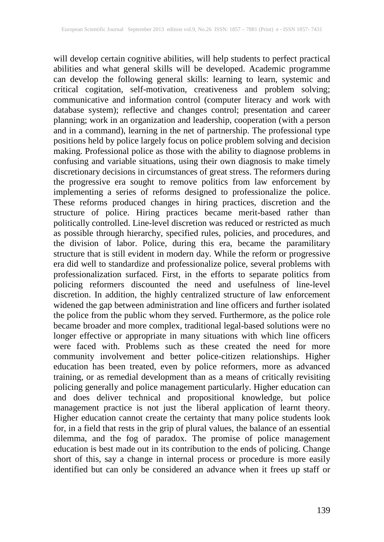will develop certain cognitive abilities, will help students to perfect practical abilities and what general skills will be developed. Academic programme can develop the following general skills: learning to learn, systemic and critical cogitation, self-motivation, creativeness and problem solving; communicative and information control (computer literacy and work with database system); reflective and changes control; presentation and career planning; work in an organization and leadership, cooperation (with a person and in a command), learning in the net of partnership. The professional type positions held by police largely focus on police problem solving and decision making. Professional police as those with the ability to diagnose problems in confusing and variable situations, using their own diagnosis to make timely discretionary decisions in circumstances of great stress. The reformers during the progressive era sought to remove politics from law enforcement by implementing a series of reforms designed to professionalize the police. These reforms produced changes in hiring practices, discretion and the structure of police. Hiring practices became merit-based rather than politically controlled. Line-level discretion was reduced or restricted as much as possible through hierarchy, specified rules, policies, and procedures, and the division of labor. Police, during this era, became the paramilitary structure that is still evident in modern day. While the reform or progressive era did well to standardize and professionalize police, several problems with professionalization surfaced. First, in the efforts to separate politics from policing reformers discounted the need and usefulness of line-level discretion. In addition, the highly centralized structure of law enforcement widened the gap between administration and line officers and further isolated the police from the public whom they served. Furthermore, as the police role became broader and more complex, traditional legal-based solutions were no longer effective or appropriate in many situations with which line officers were faced with. Problems such as these created the need for more community involvement and better police-citizen relationships. Higher education has been treated, even by police reformers, more as advanced training, or as remedial development than as a means of critically revisiting policing generally and police management particularly. Higher education can and does deliver technical and propositional knowledge, but police management practice is not just the liberal application of learnt theory. Higher education cannot create the certainty that many police students look for, in a field that rests in the grip of plural values, the balance of an essential dilemma, and the fog of paradox. The promise of police management education is best made out in its contribution to the ends of policing. Change short of this, say a change in internal process or procedure is more easily identified but can only be considered an advance when it frees up staff or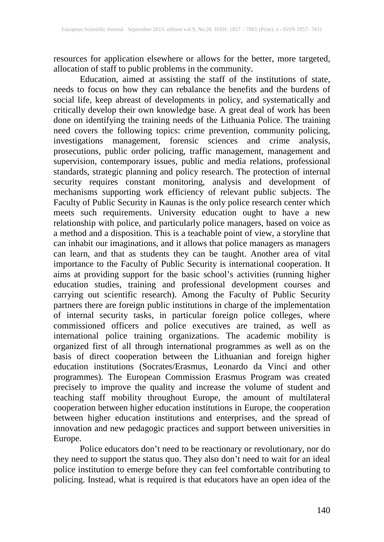resources for application elsewhere or allows for the better, more targeted, allocation of staff to public problems in the community.

Education, aimed at assisting the staff of the institutions of state, needs to focus on how they can rebalance the benefits and the burdens of social life, keep abreast of developments in policy, and systematically and critically develop their own knowledge base. A great deal of work has been done on identifying the training needs of the Lithuania Police. The training need covers the following topics: crime prevention, community policing, investigations management, forensic sciences and crime analysis, prosecutions, public order policing, traffic management, management and supervision, contemporary issues, public and media relations, professional standards, strategic planning and policy research. The protection of internal security requires constant monitoring, analysis and development of mechanisms supporting work efficiency of relevant public subjects. The Faculty of Public Security in Kaunas is the only police research center which meets such requirements. University education ought to have a new relationship with police, and particularly police managers, based on voice as a method and a disposition. This is a teachable point of view, a storyline that can inhabit our imaginations, and it allows that police managers as managers can learn, and that as students they can be taught. Another area of vital importance to the Faculty of Public Security is international cooperation. It aims at providing support for the basic school's activities (running higher education studies, training and professional development courses and carrying out scientific research). Among the Faculty of Public Security partners there are foreign public institutions in charge of the implementation of internal security tasks, in particular foreign police colleges, where commissioned officers and police executives are trained, as well as international police training organizations. The academic mobility is organized first of all through international programmes as well as on the basis of direct cooperation between the Lithuanian and foreign higher education institutions (Socrates/Erasmus, Leonardo da Vinci and other programmes). The European Commission Erasmus Program was created precisely to improve the quality and increase the volume of student and teaching staff mobility throughout Europe, the amount of multilateral cooperation between higher education institutions in Europe, the cooperation between higher education institutions and enterprises, and the spread of innovation and new pedagogic practices and support between universities in Europe.

Police educators don't need to be reactionary or revolutionary, nor do they need to support the status quo. They also don't need to wait for an ideal police institution to emerge before they can feel comfortable contributing to policing. Instead, what is required is that educators have an open idea of the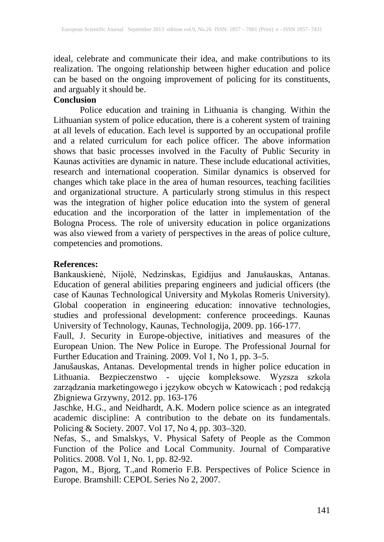ideal, celebrate and communicate their idea, and make contributions to its realization. The ongoing relationship between higher education and police can be based on the ongoing improvement of policing for its constituents, and arguably it should be.

### **Conclusion**

Police education and training in Lithuania is changing. Within the Lithuanian system of police education, there is a coherent system of training at all levels of education. Each level is supported by an occupational profile and a related curriculum for each police officer. The above information shows that basic processes involved in the Faculty of Public Security in Kaunas activities are dynamic in nature. These include educational activities, research and international cooperation. Similar dynamics is observed for changes which take place in the area of human resources, teaching facilities and organizational structure. A particularly strong stimulus in this respect was the integration of higher police education into the system of general education and the incorporation of the latter in implementation of the Bologna Process. The role of university education in police organizations was also viewed from a variety of perspectives in the areas of police culture, competencies and promotions.

## **References:**

Bankauskienė, Nijolė, Nedzinskas, Egidijus and Janušauskas, Antanas. Education of general abilities preparing engineers and judicial officers (the case of Kaunas Technological University and Mykolas Romeris University). Global cooperation in engineering education: innovative technologies, studies and professional development: conference proceedings. Kaunas University of Technology, Kaunas, Technologija, 2009. pp. 166-177.

Faull, J. Security in Europe-objective, initiatives and measures of the European Union. The New Police in Europe. The Professional Journal for Further Education and Training. 2009. Vol 1, No 1, pp. 3–5.

Janušauskas, Antanas. Developmental trends in higher police education in Lithuania. Bezpieczenstwo - ujęcie kompleksowe. Wyzsza szkola zarządzania marketingowego i językow obcych w Katowicach ; pod redakcją Zbigniewa Grzywny, 2012. pp. 163-176

Jaschke, H.G., and Neidhardt, A.K. Modern police science as an integrated academic discipline: A contribution to the debate on its fundamentals. Policing & Society. 2007. Vol 17, No 4, pp. 303–320.

Nefas, S., and Smalskys, V. Physical Safety of People as the Common Function of the Police and Local Community. Journal of Comparative Politics. 2008. Vol 1, No. 1, pp. 82-92.

Pagon, M., Bjorg, T.,and Romerio F.B. Perspectives of Police Science in Europe. Bramshill: CEPOL Series No 2, 2007.